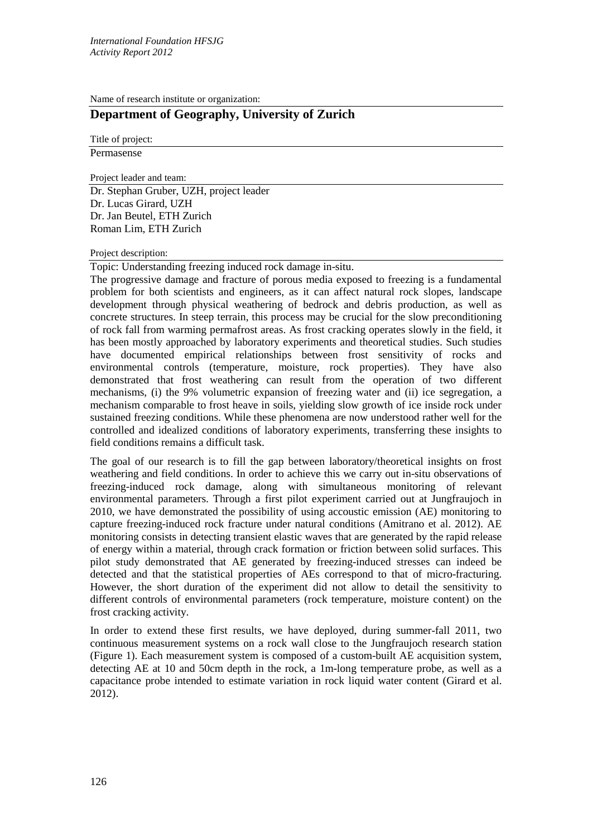Name of research institute or organization:

# **Department of Geography, University of Zurich**

Title of project:

Permasense

Project leader and team:

Dr. Stephan Gruber, UZH, project leader Dr. Lucas Girard, UZH Dr. Jan Beutel, ETH Zurich Roman Lim, ETH Zurich

### Project description:

Topic: Understanding freezing induced rock damage in-situ.

The progressive damage and fracture of porous media exposed to freezing is a fundamental problem for both scientists and engineers, as it can affect natural rock slopes, landscape development through physical weathering of bedrock and debris production, as well as concrete structures. In steep terrain, this process may be crucial for the slow preconditioning of rock fall from warming permafrost areas. As frost cracking operates slowly in the field, it has been mostly approached by laboratory experiments and theoretical studies. Such studies have documented empirical relationships between frost sensitivity of rocks and environmental controls (temperature, moisture, rock properties). They have also demonstrated that frost weathering can result from the operation of two different mechanisms, (i) the 9% volumetric expansion of freezing water and (ii) ice segregation, a mechanism comparable to frost heave in soils, yielding slow growth of ice inside rock under sustained freezing conditions. While these phenomena are now understood rather well for the controlled and idealized conditions of laboratory experiments, transferring these insights to field conditions remains a difficult task.

The goal of our research is to fill the gap between laboratory/theoretical insights on frost weathering and field conditions. In order to achieve this we carry out in-situ observations of freezing-induced rock damage, along with simultaneous monitoring of relevant environmental parameters. Through a first pilot experiment carried out at Jungfraujoch in 2010, we have demonstrated the possibility of using accoustic emission (AE) monitoring to capture freezing-induced rock fracture under natural conditions (Amitrano et al. 2012). AE monitoring consists in detecting transient elastic waves that are generated by the rapid release of energy within a material, through crack formation or friction between solid surfaces. This pilot study demonstrated that AE generated by freezing-induced stresses can indeed be detected and that the statistical properties of AEs correspond to that of micro-fracturing. However, the short duration of the experiment did not allow to detail the sensitivity to different controls of environmental parameters (rock temperature, moisture content) on the frost cracking activity.

In order to extend these first results, we have deployed, during summer-fall 2011, two continuous measurement systems on a rock wall close to the Jungfraujoch research station (Figure 1). Each measurement system is composed of a custom-built AE acquisition system, detecting AE at 10 and 50cm depth in the rock, a 1m-long temperature probe, as well as a capacitance probe intended to estimate variation in rock liquid water content (Girard et al. 2012).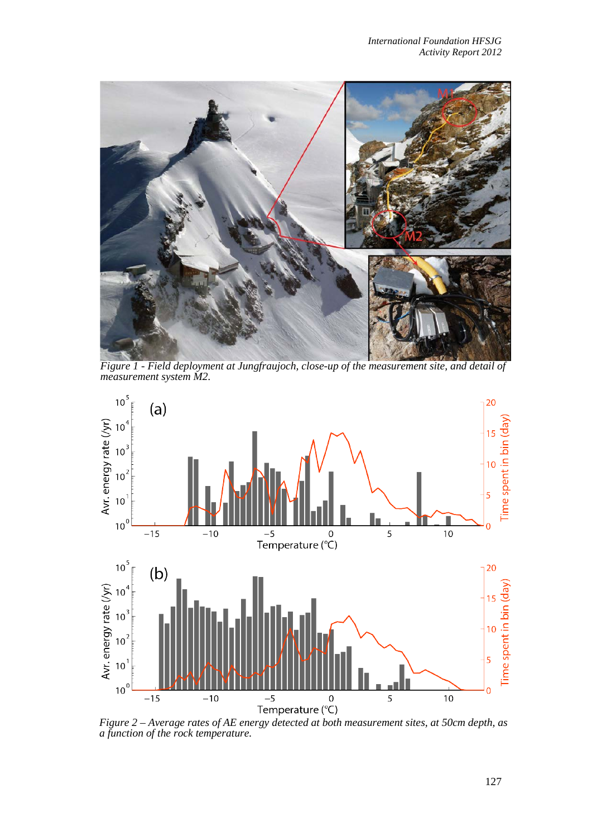

*Figure 1 - Field deployment at Jungfraujoch, close-up of the measurement site, and detail of measurement system M2.*



*a function of the rock temperature.*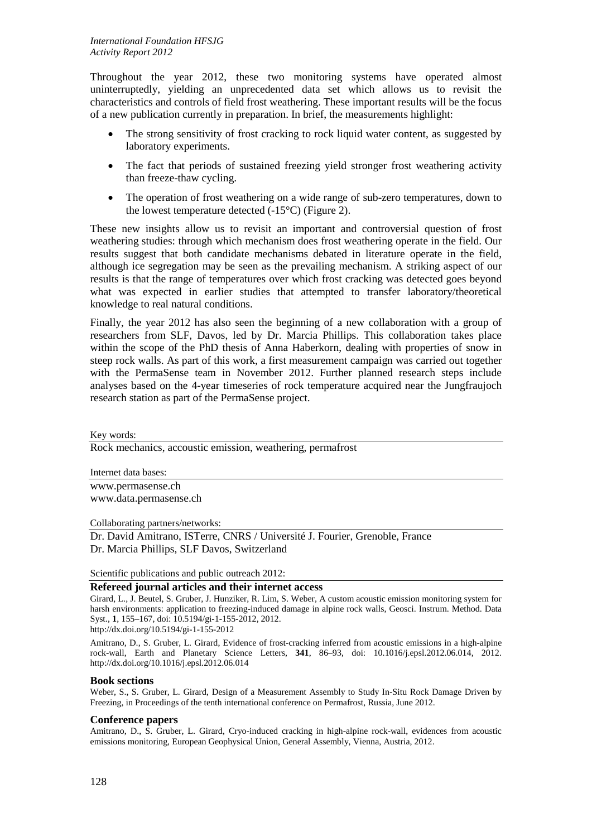Throughout the year 2012, these two monitoring systems have operated almost uninterruptedly, yielding an unprecedented data set which allows us to revisit the characteristics and controls of field frost weathering. These important results will be the focus of a new publication currently in preparation. In brief, the measurements highlight:

- The strong sensitivity of frost cracking to rock liquid water content, as suggested by laboratory experiments.
- The fact that periods of sustained freezing yield stronger frost weathering activity than freeze-thaw cycling.
- The operation of frost weathering on a wide range of sub-zero temperatures, down to the lowest temperature detected  $(-15^{\circ}C)$  (Figure 2).

These new insights allow us to revisit an important and controversial question of frost weathering studies: through which mechanism does frost weathering operate in the field. Our results suggest that both candidate mechanisms debated in literature operate in the field, although ice segregation may be seen as the prevailing mechanism. A striking aspect of our results is that the range of temperatures over which frost cracking was detected goes beyond what was expected in earlier studies that attempted to transfer laboratory/theoretical knowledge to real natural conditions.

Finally, the year 2012 has also seen the beginning of a new collaboration with a group of researchers from SLF, Davos, led by Dr. Marcia Phillips. This collaboration takes place within the scope of the PhD thesis of Anna Haberkorn, dealing with properties of snow in steep rock walls. As part of this work, a first measurement campaign was carried out together with the PermaSense team in November 2012. Further planned research steps include analyses based on the 4-year timeseries of rock temperature acquired near the Jungfraujoch research station as part of the PermaSense project.

### Key words:

Rock mechanics, accoustic emission, weathering, permafrost

Internet data bases:

[www.permasense.ch](http://www.permasense.ch/) [www.data.permasense.ch](http://www.data.permasense.ch/)

Collaborating partners/networks:

Dr. David Amitrano, ISTerre, CNRS / Université J. Fourier, Grenoble, France Dr. Marcia Phillips, SLF Davos, Switzerland

Scientific publications and public outreach 2012:

# **Refereed journal articles and their internet access**

Girard, L., J. Beutel, S. Gruber, J. Hunziker, R. Lim, S. Weber, A custom acoustic emission monitoring system for harsh environments: application to freezing-induced damage in alpine rock walls, Geosci. Instrum. Method. Data Syst., **1**, 155–167, doi: 10.5194/gi-1-155-2012, 2012.

http://dx.doi.org/10.5194/gi-1-155-2012

Amitrano, D., S. Gruber, L. Girard, Evidence of frost-cracking inferred from acoustic emissions in a high-alpine rock-wall, Earth and Planetary Science Letters, **341**, 86–93, doi: 10.1016/j.epsl.2012.06.014, 2012. http://dx.doi.org/10.1016/j.epsl.2012.06.014

## **Book sections**

Weber, S., S. Gruber, L. Girard, Design of a Measurement Assembly to Study In-Situ Rock Damage Driven by Freezing, in Proceedings of the tenth international conference on Permafrost, Russia, June 2012.

### **Conference papers**

Amitrano, D., S. Gruber, L. Girard, Cryo-induced cracking in high-alpine rock-wall, evidences from acoustic emissions monitoring, European Geophysical Union, General Assembly, Vienna, Austria, 2012.